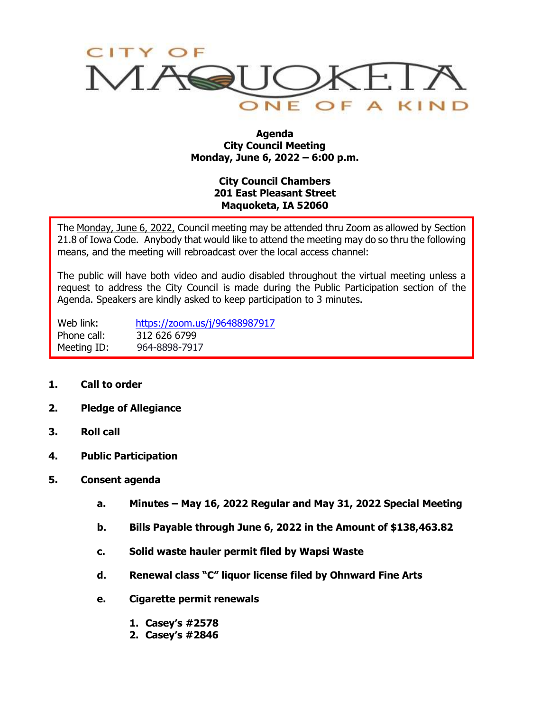

#### **Agenda City Council Meeting Monday, June 6, 2022 – 6:00 p.m.**

### **City Council Chambers 201 East Pleasant Street Maquoketa, IA 52060**

The Monday, June 6, 2022, Council meeting may be attended thru Zoom as allowed by Section 21.8 of Iowa Code. Anybody that would like to attend the meeting may do so thru the following means, and the meeting will rebroadcast over the local access channel:

The public will have both video and audio disabled throughout the virtual meeting unless a request to address the City Council is made during the Public Participation section of the Agenda. Speakers are kindly asked to keep participation to 3 minutes.

Web link: <https://zoom.us/j/96488987917> Phone call: 312 626 6799 Meeting ID: 964-8898-7917

- **1. Call to order**
- **2. Pledge of Allegiance**
- **3. Roll call**
- **4. Public Participation**
- **5. Consent agenda**
	- **a. Minutes – May 16, 2022 Regular and May 31, 2022 Special Meeting**
	- **b. Bills Payable through June 6, 2022 in the Amount of \$138,463.82**
	- **c. Solid waste hauler permit filed by Wapsi Waste**
	- **d. Renewal class "C" liquor license filed by Ohnward Fine Arts**
	- **e. Cigarette permit renewals**
		- **1. Casey's #2578**
		- **2. Casey's #2846**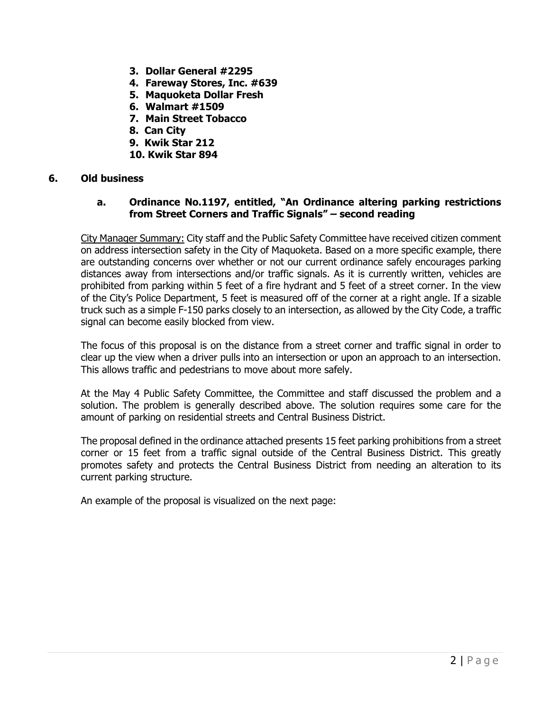- **3. Dollar General #2295**
- **4. Fareway Stores, Inc. #639**
- **5. Maquoketa Dollar Fresh**
- **6. Walmart #1509**
- **7. Main Street Tobacco**
- **8. Can City**
- **9. Kwik Star 212**
- **10. Kwik Star 894**

#### **6. Old business**

#### **a. Ordinance No.1197, entitled, "An Ordinance altering parking restrictions from Street Corners and Traffic Signals" – second reading**

City Manager Summary: City staff and the Public Safety Committee have received citizen comment on address intersection safety in the City of Maquoketa. Based on a more specific example, there are outstanding concerns over whether or not our current ordinance safely encourages parking distances away from intersections and/or traffic signals. As it is currently written, vehicles are prohibited from parking within 5 feet of a fire hydrant and 5 feet of a street corner. In the view of the City's Police Department, 5 feet is measured off of the corner at a right angle. If a sizable truck such as a simple F-150 parks closely to an intersection, as allowed by the City Code, a traffic signal can become easily blocked from view.

The focus of this proposal is on the distance from a street corner and traffic signal in order to clear up the view when a driver pulls into an intersection or upon an approach to an intersection. This allows traffic and pedestrians to move about more safely.

At the May 4 Public Safety Committee, the Committee and staff discussed the problem and a solution. The problem is generally described above. The solution requires some care for the amount of parking on residential streets and Central Business District.

The proposal defined in the ordinance attached presents 15 feet parking prohibitions from a street corner or 15 feet from a traffic signal outside of the Central Business District. This greatly promotes safety and protects the Central Business District from needing an alteration to its current parking structure.

An example of the proposal is visualized on the next page: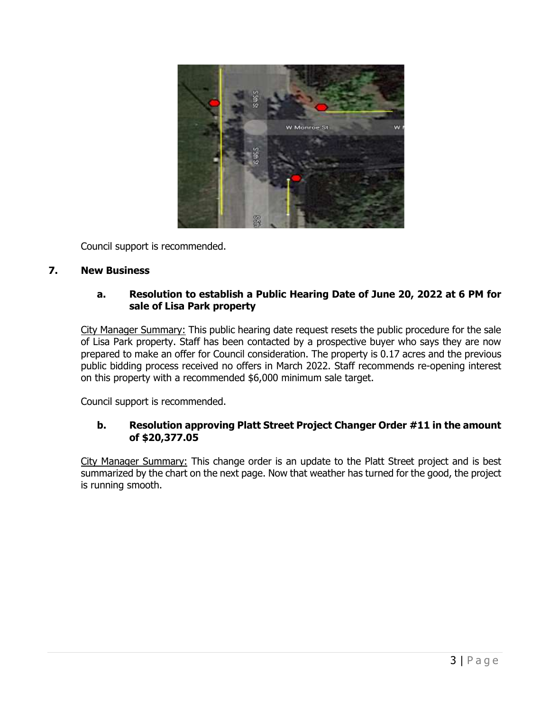

Council support is recommended.

#### **7. New Business**

#### **a. Resolution to establish a Public Hearing Date of June 20, 2022 at 6 PM for sale of Lisa Park property**

City Manager Summary: This public hearing date request resets the public procedure for the sale of Lisa Park property. Staff has been contacted by a prospective buyer who says they are now prepared to make an offer for Council consideration. The property is 0.17 acres and the previous public bidding process received no offers in March 2022. Staff recommends re-opening interest on this property with a recommended \$6,000 minimum sale target.

Council support is recommended.

#### **b. Resolution approving Platt Street Project Changer Order #11 in the amount of \$20,377.05**

City Manager Summary: This change order is an update to the Platt Street project and is best summarized by the chart on the next page. Now that weather has turned for the good, the project is running smooth.